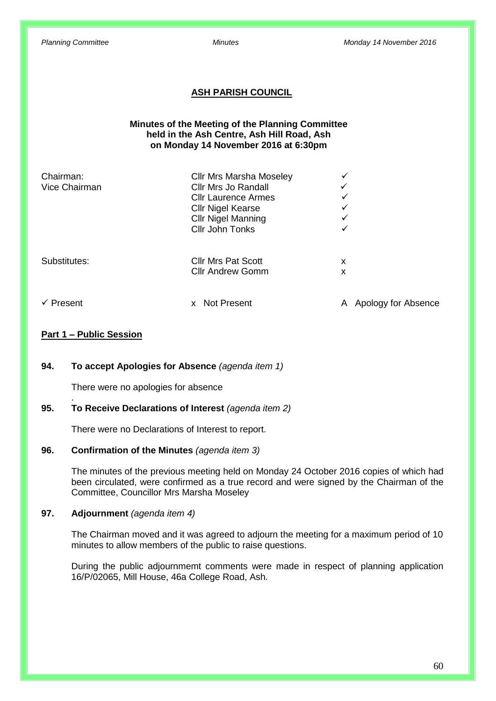## **ASH PARISH COUNCIL**

## **Minutes of the Meeting of the Planning Committee held in the Ash Centre, Ash Hill Road, Ash on Monday 14 November 2016 at 6:30pm**

| Chairman:<br>Vice Chairman | <b>Cllr Mrs Marsha Moseley</b><br><b>Cllr Mrs Jo Randall</b><br><b>Cllr Laurence Armes</b><br><b>Cllr Nigel Kearse</b><br><b>Cllr Nigel Manning</b> | ✓<br>✓<br>$\checkmark$<br>✓<br>✓ |
|----------------------------|-----------------------------------------------------------------------------------------------------------------------------------------------------|----------------------------------|
| Substitutes:               | <b>Cllr John Tonks</b><br><b>Cllr Mrs Pat Scott</b><br><b>Cllr Andrew Gomm</b>                                                                      | ✓<br>x<br>x                      |
| Present                    | <b>Not Present</b><br><b>X</b>                                                                                                                      | Apology for Absence<br>A         |

## **Part 1 – Public Session**

.

### **94. To accept Apologies for Absence** *(agenda item 1)*

There were no apologies for absence

## **95. To Receive Declarations of Interest** *(agenda item 2)*

There were no Declarations of Interest to report.

#### **96. Confirmation of the Minutes** *(agenda item 3)*

The minutes of the previous meeting held on Monday 24 October 2016 copies of which had been circulated, were confirmed as a true record and were signed by the Chairman of the Committee, Councillor Mrs Marsha Moseley

#### **97. Adjournment** *(agenda item 4)*

The Chairman moved and it was agreed to adjourn the meeting for a maximum period of 10 minutes to allow members of the public to raise questions.

During the public adjournmemt comments were made in respect of planning application 16/P/02065, Mill House, 46a College Road, Ash.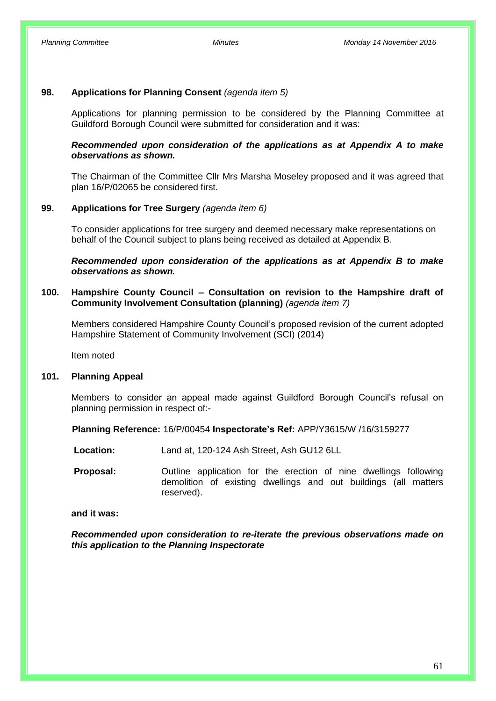## **98. Applications for Planning Consent** *(agenda item 5)*

Applications for planning permission to be considered by the Planning Committee at Guildford Borough Council were submitted for consideration and it was:

### *Recommended upon consideration of the applications as at Appendix A to make observations as shown.*

The Chairman of the Committee Cllr Mrs Marsha Moseley proposed and it was agreed that plan 16/P/02065 be considered first.

### **99. Applications for Tree Surgery** *(agenda item 6)*

To consider applications for tree surgery and deemed necessary make representations on behalf of the Council subject to plans being received as detailed at Appendix B.

*Recommended upon consideration of the applications as at Appendix B to make observations as shown.*

## **100. Hampshire County Council – Consultation on revision to the Hampshire draft of Community Involvement Consultation (planning)** *(agenda item 7)*

Members considered Hampshire County Council's proposed revision of the current adopted Hampshire Statement of Community Involvement (SCI) (2014)

Item noted

#### **101. Planning Appeal**

Members to consider an appeal made against Guildford Borough Council's refusal on planning permission in respect of:-

**Planning Reference:** 16/P/00454 **Inspectorate's Ref:** APP/Y3615/W /16/3159277

- **Location:** Land at, 120-124 Ash Street, Ash GU12 6LL
- **Proposal:** Outline application for the erection of nine dwellings following demolition of existing dwellings and out buildings (all matters reserved).

#### **and it was:**

*Recommended upon consideration to re-iterate the previous observations made on this application to the Planning Inspectorate*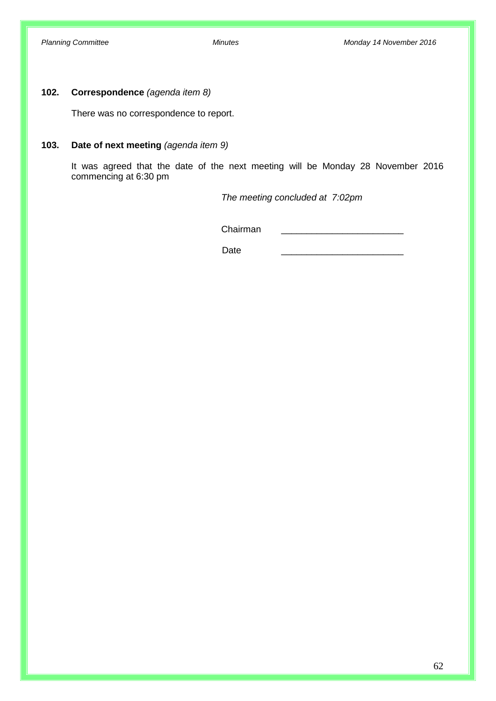## **102. Correspondence** *(agenda item 8)*

There was no correspondence to report.

## **103. Date of next meeting** *(agenda item 9)*

It was agreed that the date of the next meeting will be Monday 28 November 2016 commencing at 6:30 pm

*The meeting concluded at 7:02pm*

Chairman \_\_\_\_\_\_\_\_\_\_\_\_\_\_\_\_\_\_\_\_\_\_\_\_

Date \_\_\_\_\_\_\_\_\_\_\_\_\_\_\_\_\_\_\_\_\_\_\_\_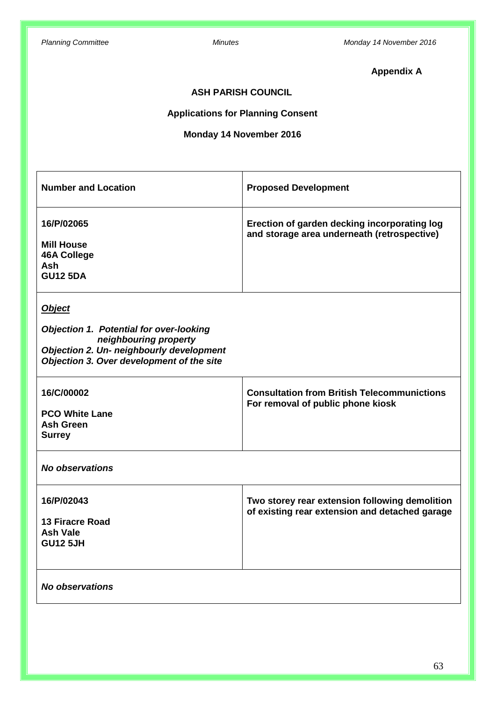# **Appendix A**

## **ASH PARISH COUNCIL**

## **Applications for Planning Consent**

# **Monday 14 November 2016**

| <b>Number and Location</b>                                                                                                                                                               | <b>Proposed Development</b>                                                                      |
|------------------------------------------------------------------------------------------------------------------------------------------------------------------------------------------|--------------------------------------------------------------------------------------------------|
| 16/P/02065<br><b>Mill House</b><br><b>46A College</b><br><b>Ash</b><br><b>GU12 5DA</b>                                                                                                   | Erection of garden decking incorporating log<br>and storage area underneath (retrospective)      |
| <b>Object</b><br><b>Objection 1. Potential for over-looking</b><br>neighbouring property<br><b>Objection 2. Un- neighbourly development</b><br>Objection 3. Over development of the site |                                                                                                  |
| 16/C/00002<br><b>PCO White Lane</b><br><b>Ash Green</b><br><b>Surrey</b>                                                                                                                 | <b>Consultation from British Telecommunictions</b><br>For removal of public phone kiosk          |
| <b>No observations</b>                                                                                                                                                                   |                                                                                                  |
| 16/P/02043<br><b>13 Firacre Road</b><br><b>Ash Vale</b><br><b>GU12 5JH</b>                                                                                                               | Two storey rear extension following demolition<br>of existing rear extension and detached garage |
| No observations                                                                                                                                                                          |                                                                                                  |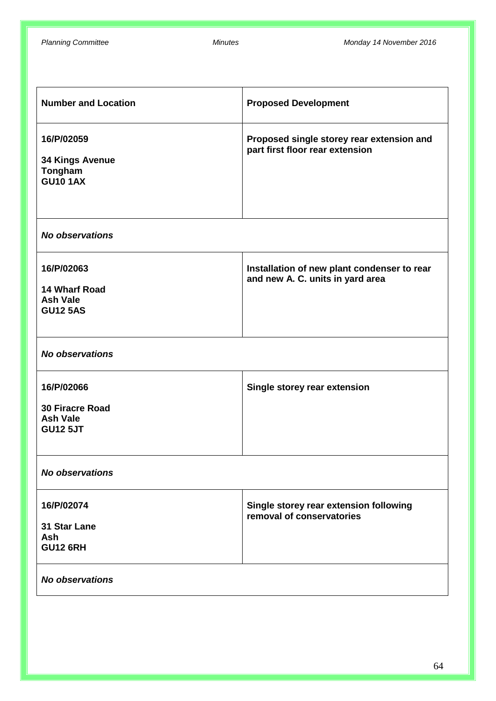| <b>Number and Location</b>                                                 | <b>Proposed Development</b>                                                     |
|----------------------------------------------------------------------------|---------------------------------------------------------------------------------|
| 16/P/02059<br><b>34 Kings Avenue</b><br>Tongham<br><b>GU10 1AX</b>         | Proposed single storey rear extension and<br>part first floor rear extension    |
| <b>No observations</b>                                                     |                                                                                 |
| 16/P/02063<br><b>14 Wharf Road</b><br><b>Ash Vale</b><br><b>GU12 5AS</b>   | Installation of new plant condenser to rear<br>and new A. C. units in yard area |
| <b>No observations</b>                                                     |                                                                                 |
| 16/P/02066<br><b>30 Firacre Road</b><br><b>Ash Vale</b><br><b>GU12 5JT</b> | Single storey rear extension                                                    |
| <b>No observations</b>                                                     |                                                                                 |
| 16/P/02074<br>31 Star Lane<br>Ash<br><b>GU12 6RH</b>                       | Single storey rear extension following<br>removal of conservatories             |
| <b>No observations</b>                                                     |                                                                                 |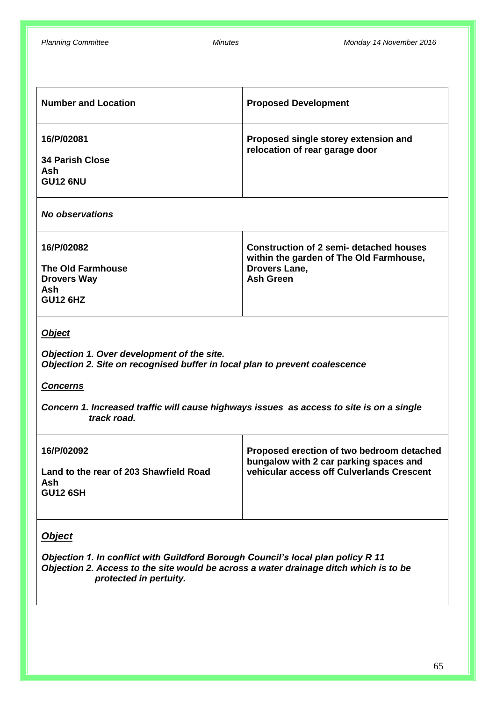| <b>Number and Location</b>                                                                                                                                                                                                                                               | <b>Proposed Development</b>                                                                                                           |  |
|--------------------------------------------------------------------------------------------------------------------------------------------------------------------------------------------------------------------------------------------------------------------------|---------------------------------------------------------------------------------------------------------------------------------------|--|
| 16/P/02081<br><b>34 Parish Close</b><br>Ash<br><b>GU12 6NU</b>                                                                                                                                                                                                           | Proposed single storey extension and<br>relocation of rear garage door                                                                |  |
| <b>No observations</b>                                                                                                                                                                                                                                                   |                                                                                                                                       |  |
| 16/P/02082<br><b>The Old Farmhouse</b><br><b>Drovers Way</b><br>Ash<br><b>GU12 6HZ</b>                                                                                                                                                                                   | <b>Construction of 2 semi- detached houses</b><br>within the garden of The Old Farmhouse,<br><b>Drovers Lane,</b><br><b>Ash Green</b> |  |
| <b>Object</b><br>Objection 1. Over development of the site.<br>Objection 2. Site on recognised buffer in local plan to prevent coalescence<br><b>Concerns</b><br>Concern 1. Increased traffic will cause highways issues as access to site is on a single<br>track road. |                                                                                                                                       |  |
| 16/P/02092<br>Land to the rear of 203 Shawfield Road<br>Ash<br><b>GU12 6SH</b>                                                                                                                                                                                           | Proposed erection of two bedroom detached<br>bungalow with 2 car parking spaces and<br>vehicular access off Culverlands Crescent      |  |
| <b>Object</b><br>Objection 1. In conflict with Guildford Borough Council's local plan policy R 11<br>Objection 2. Access to the site would be across a water drainage ditch which is to be<br>protected in pertuity.                                                     |                                                                                                                                       |  |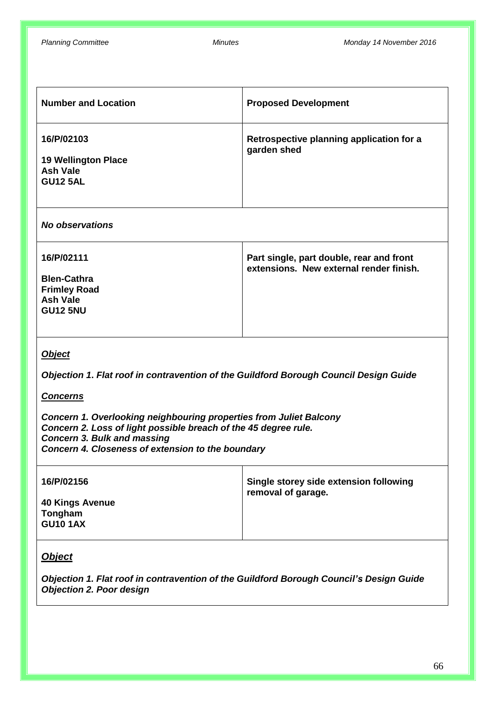| <b>Number and Location</b>                                                                                                                                                                                                                                                                                                                                    | <b>Proposed Development</b>                                                         |  |
|---------------------------------------------------------------------------------------------------------------------------------------------------------------------------------------------------------------------------------------------------------------------------------------------------------------------------------------------------------------|-------------------------------------------------------------------------------------|--|
| 16/P/02103<br><b>19 Wellington Place</b><br><b>Ash Vale</b><br><b>GU12 5AL</b>                                                                                                                                                                                                                                                                                | Retrospective planning application for a<br>garden shed                             |  |
| <b>No observations</b>                                                                                                                                                                                                                                                                                                                                        |                                                                                     |  |
| 16/P/02111<br><b>Blen-Cathra</b><br><b>Frimley Road</b><br><b>Ash Vale</b><br><b>GU12 5NU</b>                                                                                                                                                                                                                                                                 | Part single, part double, rear and front<br>extensions. New external render finish. |  |
| <b>Object</b><br>Objection 1. Flat roof in contravention of the Guildford Borough Council Design Guide<br><b>Concerns</b><br>Concern 1. Overlooking neighbouring properties from Juliet Balcony<br>Concern 2. Loss of light possible breach of the 45 degree rule.<br><b>Concern 3. Bulk and massing</b><br>Concern 4. Closeness of extension to the boundary |                                                                                     |  |
| 16/P/02156<br><b>40 Kings Avenue</b><br>Tongham<br><b>GU10 1AX</b>                                                                                                                                                                                                                                                                                            | Single storey side extension following<br>removal of garage.                        |  |
| <b>Object</b><br>Objection 1. Flat roof in contravention of the Guildford Borough Council's Design Guide                                                                                                                                                                                                                                                      |                                                                                     |  |

*Objection 2. Poor design*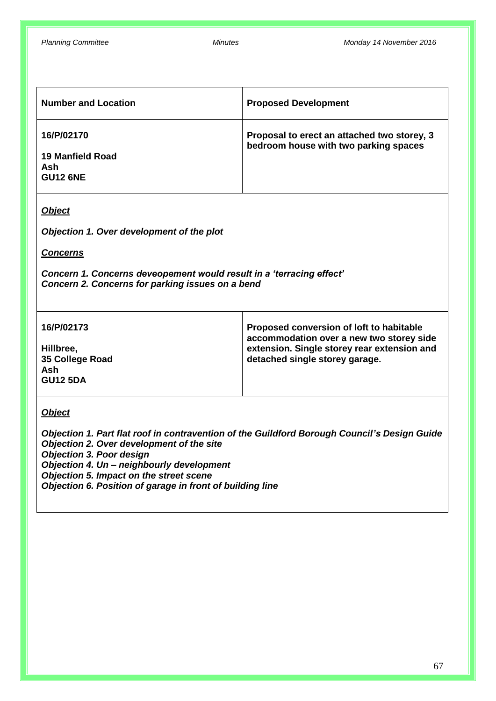| <b>Number and Location</b>                               | <b>Proposed Development</b>                                                          |
|----------------------------------------------------------|--------------------------------------------------------------------------------------|
| 16/P/02170<br>19 Manfield Road<br>Ash<br><b>GU12 6NE</b> | Proposal to erect an attached two storey, 3<br>bedroom house with two parking spaces |

## *Object*

*Objection 1. Over development of the plot*

*Concerns*

*Concern 1. Concerns deveopement would result in a 'terracing effect' Concern 2. Concerns for parking issues on a bend*

| 16/P/02173                                             | Proposed conversion of loft to habitable<br>accommodation over a new two storey side |
|--------------------------------------------------------|--------------------------------------------------------------------------------------|
| Hillbree,<br>35 College Road<br>Ash<br><b>GU12 5DA</b> | extension. Single storey rear extension and<br>detached single storey garage.        |

### *Object*

*Objection 1. Part flat roof in contravention of the Guildford Borough Council's Design Guide Objection 2. Over development of the site Objection 3. Poor design Objection 4. Un – neighbourly development Objection 5. Impact on the street scene Objection 6. Position of garage in front of building line*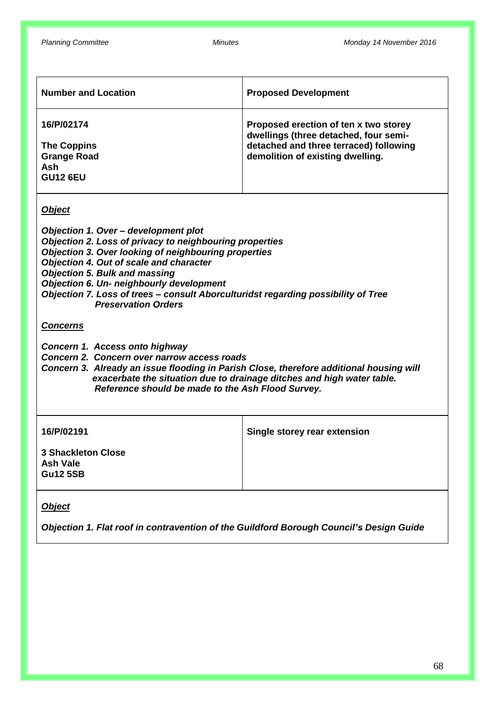| <b>Number and Location</b>                                                       | <b>Proposed Development</b>                                                                                                                                  |
|----------------------------------------------------------------------------------|--------------------------------------------------------------------------------------------------------------------------------------------------------------|
| 16/P/02174<br><b>The Coppins</b><br><b>Grange Road</b><br>Ash<br><b>GU12 6EU</b> | Proposed erection of ten x two storey<br>dwellings (three detached, four semi-<br>detached and three terraced) following<br>demolition of existing dwelling. |

*Object*

*Objection 1. Over – development plot Objection 2. Loss of privacy to neighbouring properties Objection 3. Over looking of neighbouring properties Objection 4. Out of scale and character Objection 5. Bulk and massing Objection 6. Un- neighbourly development Objection 7. Loss of trees – consult Aborculturidst regarding possibility of Tree Preservation Orders*

#### *Concerns*

- *Concern 1. Access onto highway*
- *Concern 2. Concern over narrow access roads*

*Concern 3. Already an issue flooding in Parish Close, therefore additional housing will exacerbate the situation due to drainage ditches and high water table. Reference should be made to the Ash Flood Survey.*

| 16/P/02191                                                      | Single storey rear extension |
|-----------------------------------------------------------------|------------------------------|
| <b>3 Shackleton Close</b><br><b>Ash Vale</b><br><b>Gu12 5SB</b> |                              |

## *Object*

*Objection 1. Flat roof in contravention of the Guildford Borough Council's Design Guide*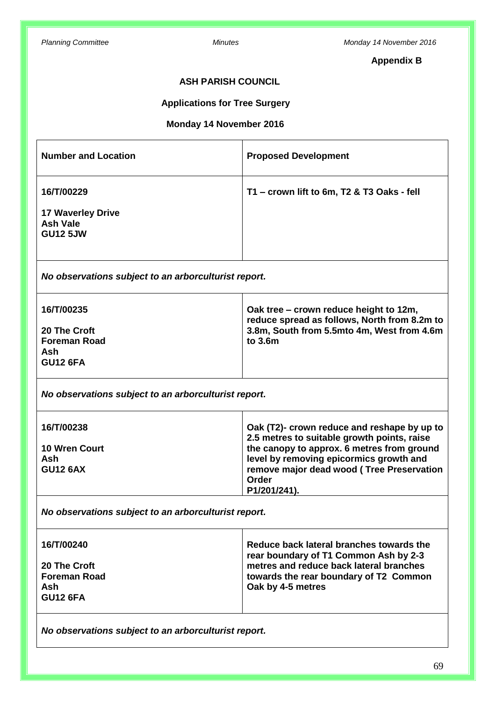# **Appendix B**

## **ASH PARISH COUNCIL**

## **Applications for Tree Surgery**

## **Monday 14 November 2016**

| <b>Number and Location</b>                           | <b>Proposed Development</b>                                                            |
|------------------------------------------------------|----------------------------------------------------------------------------------------|
| 16/T/00229                                           | T1 - crown lift to 6m, T2 & T3 Oaks - fell                                             |
| <b>17 Waverley Drive</b>                             |                                                                                        |
| <b>Ash Vale</b>                                      |                                                                                        |
| <b>GU12 5JW</b>                                      |                                                                                        |
|                                                      |                                                                                        |
| No observations subject to an arborculturist report. |                                                                                        |
| 16/T/00235                                           | Oak tree – crown reduce height to 12m,<br>reduce spread as follows, North from 8.2m to |
| 20 The Croft                                         | 3.8m, South from 5.5mto 4m, West from 4.6m                                             |
| <b>Foreman Road</b>                                  | to 3.6m                                                                                |
| Ash                                                  |                                                                                        |
| <b>GU12 6FA</b>                                      |                                                                                        |
| No observations subject to an arborculturist report. |                                                                                        |
| 16/T/00238                                           | Oak (T2)- crown reduce and reshape by up to                                            |
|                                                      | 2.5 metres to suitable growth points, raise                                            |
| <b>10 Wren Court</b>                                 | the canopy to approx. 6 metres from ground                                             |
| Ash                                                  | level by removing epicormics growth and                                                |
| <b>GU12 6AX</b>                                      | remove major dead wood (Tree Preservation<br><b>Order</b>                              |
|                                                      | P1/201/241).                                                                           |
| No observations subject to an arborculturist report. |                                                                                        |
| 16/T/00240                                           | Reduce back lateral branches towards the                                               |
|                                                      | rear boundary of T1 Common Ash by 2-3                                                  |
| 20 The Croft                                         | metres and reduce back lateral branches                                                |
| <b>Foreman Road</b>                                  | towards the rear boundary of T2 Common                                                 |
| <b>Ash</b>                                           | Oak by 4-5 metres                                                                      |
| <b>GU12 6FA</b>                                      |                                                                                        |

*No observations subject to an arborculturist report.*